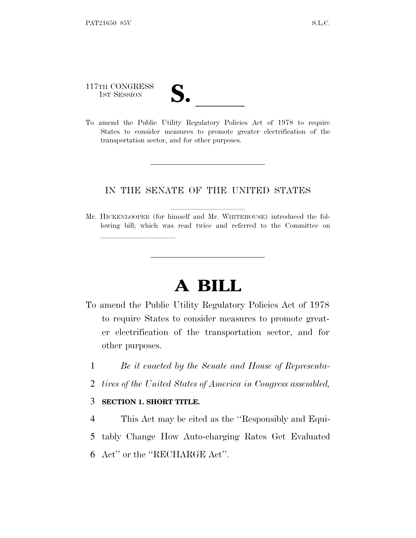117TH CONGRESS

lland and a state of the state of the state of the state of the state of the state of the state of the state o

117TH CONGRESS<br>
1ST SESSION<br>
To amend the Public Utility Regulatory Policies Act of 1978 to require States to consider measures to promote greater electrification of the transportation sector, and for other purposes.

## IN THE SENATE OF THE UNITED STATES

Mr. HICKENLOOPER (for himself and Mr. WHITEHOUSE) introduced the following bill; which was read twice and referred to the Committee on

## **A BILL**

- To amend the Public Utility Regulatory Policies Act of 1978 to require States to consider measures to promote greater electrification of the transportation sector, and for other purposes.
	- 1 *Be it enacted by the Senate and House of Representa-*
	- 2 *tives of the United States of America in Congress assembled,*

## 3 **SECTION 1. SHORT TITLE.**

4 This Act may be cited as the ''Responsibly and Equi-5 tably Change How Auto-charging Rates Get Evaluated 6 Act'' or the ''RECHARGE Act''.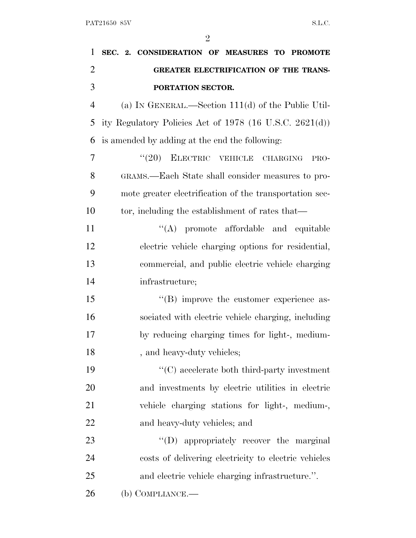| 1              | SEC. 2. CONSIDERATION OF MEASURES TO PROMOTE              |
|----------------|-----------------------------------------------------------|
| $\overline{2}$ | <b>GREATER ELECTRIFICATION OF THE TRANS-</b>              |
| 3              | PORTATION SECTOR.                                         |
| $\overline{4}$ | (a) IN GENERAL.—Section $111(d)$ of the Public Util-      |
| 5              | ity Regulatory Policies Act of $1978$ (16 U.S.C. 2621(d)) |
| 6              | is amended by adding at the end the following:            |
| 7              | $``(20)$ ELECTRIC VEHICLE<br>CHARGING<br>PRO-             |
| 8              | GRAMS.—Each State shall consider measures to pro-         |
| 9              | mote greater electrification of the transportation sec-   |
| 10             | tor, including the establishment of rates that—           |
| 11             | "(A) promote affordable and equitable                     |
| 12             | electric vehicle charging options for residential,        |
| 13             | commercial, and public electric vehicle charging          |
| 14             | infrastructure;                                           |
| 15             | $\lq\lq (B)$ improve the customer experience as-          |
| 16             | sociated with electric vehicle charging, including        |
| 17             | by reducing charging times for light-, medium-            |
| 18             | , and heavy-duty vehicles;                                |
| 19             | $\lq\lq$ (C) accelerate both third-party investment       |
| 20             | and investments by electric utilities in electric         |
| 21             | vehicle charging stations for light-, medium-,            |
| 22             | and heavy-duty vehicles; and                              |
| 23             | "(D) appropriately recover the marginal                   |
| 24             | costs of delivering electricity to electric vehicles      |
| 25             | and electric vehicle charging infrastructure.".           |
| 26             | (b) COMPLIANCE.-                                          |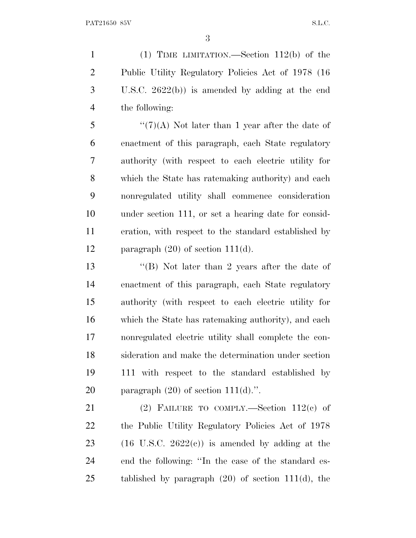(1) TIME LIMITATION.—Section 112(b) of the Public Utility Regulatory Policies Act of 1978 (16 U.S.C. 2622(b)) is amended by adding at the end the following:

 $\frac{4}{7}(7)$ (A) Not later than 1 year after the date of enactment of this paragraph, each State regulatory authority (with respect to each electric utility for which the State has ratemaking authority) and each nonregulated utility shall commence consideration under section 111, or set a hearing date for consid- eration, with respect to the standard established by 12 paragraph  $(20)$  of section 111 $(d)$ .

 ''(B) Not later than 2 years after the date of enactment of this paragraph, each State regulatory authority (with respect to each electric utility for which the State has ratemaking authority), and each nonregulated electric utility shall complete the con- sideration and make the determination under section 111 with respect to the standard established by 20 paragraph  $(20)$  of section  $111(d)$ .".

 (2) FAILURE TO COMPLY.—Section 112(c) of the Public Utility Regulatory Policies Act of 1978 23 (16 U.S.C. 2622 $(e)$ ) is amended by adding at the end the following: ''In the case of the standard es-tablished by paragraph (20) of section 111(d), the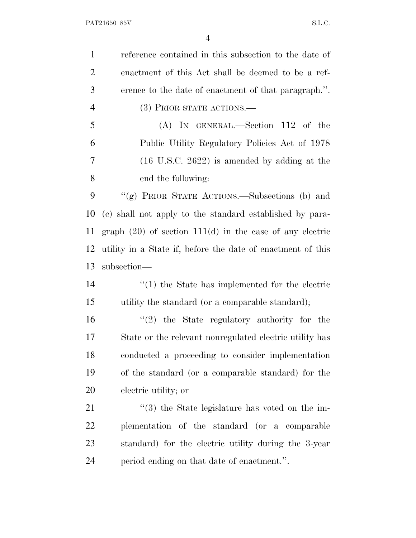PAT21650 85V S.L.C.

| $\mathbf{1}$   | reference contained in this subsection to the date of         |
|----------------|---------------------------------------------------------------|
| $\overline{2}$ | enactment of this Act shall be deemed to be a ref-            |
| 3              | erence to the date of enactment of that paragraph.".          |
| $\overline{4}$ | (3) PRIOR STATE ACTIONS.—                                     |
| 5              | $(A)$ IN GENERAL.—Section 112 of the                          |
| 6              | Public Utility Regulatory Policies Act of 1978                |
| 7              | $(16 \text{ U.S.C. } 2622)$ is amended by adding at the       |
| 8              | end the following:                                            |
| 9              | "(g) PRIOR STATE ACTIONS.—Subsections (b) and                 |
| 10             | (c) shall not apply to the standard established by para-      |
| 11             | graph $(20)$ of section 111 $(d)$ in the case of any electric |
| 12             | utility in a State if, before the date of enactment of this   |
| 13             | subsection-                                                   |
| 14             | $\cdot$ (1) the State has implemented for the electric        |
| 15             | utility the standard (or a comparable standard);              |
| 16             | $(2)$ the State regulatory authority for the                  |
| 17             | State or the relevant nonregulated electric utility has       |
| 18             | conducted a proceeding to consider implementation             |
| 19             | of the standard (or a comparable standard) for the            |
| 20             | electric utility; or                                          |
| 21             | $\cdot\cdot$ (3) the State legislature has voted on the im-   |
| 22             | plementation of the standard (or a comparable                 |
| 23             | standard) for the electric utility during the 3-year          |
| 24             | period ending on that date of enactment.".                    |
|                |                                                               |